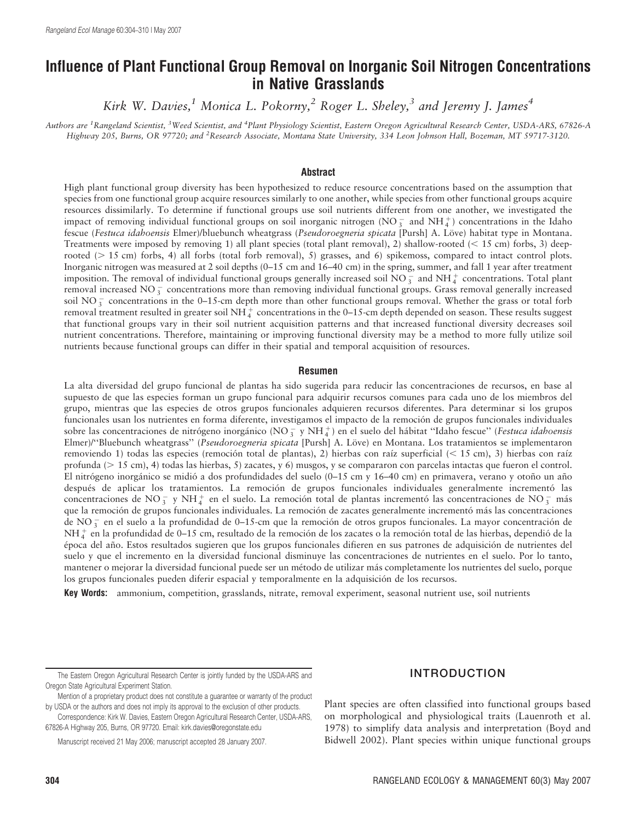# Influence of Plant Functional Group Removal on Inorganic Soil Nitrogen Concentrations in Native Grasslands

Kirk W. Davies,<sup>1</sup> Monica L. Pokorny,<sup>2</sup> Roger L. Sheley,<sup>3</sup> and Jeremy J. James<sup>4</sup>

Authors are <sup>1</sup>Rangeland Scientist, <sup>3</sup>Weed Scientist, and <sup>4</sup>Plant Physiology Scientist, Eastern Oregon Agricultural Research Center, USDA-ARS, 67826-A Highway 205, Burns, OR 97720; and <sup>2</sup>Research Associate, Montana State University, 334 Leon Johnson Hall, Bozeman, MT 59717-3120.

#### Abstract

High plant functional group diversity has been hypothesized to reduce resource concentrations based on the assumption that species from one functional group acquire resources similarly to one another, while species from other functional groups acquire resources dissimilarly. To determine if functional groups use soil nutrients different from one another, we investigated the impact of removing individual functional groups on soil inorganic nitrogen (NO $_3^-$  and NH $_4^+$ ) concentrations in the Idaho fescue (Festuca idahoensis Elmer)/bluebunch wheatgrass (Pseudoroegneria spicata [Pursh] A. Löve) habitat type in Montana. Treatments were imposed by removing 1) all plant species (total plant removal), 2) shallow-rooted ( $< 15$  cm) forbs, 3) deeprooted ( $> 15$  cm) forbs, 4) all forbs (total forb removal), 5) grasses, and 6) spikemoss, compared to intact control plots. Inorganic nitrogen was measured at 2 soil depths (0–15 cm and 16–40 cm) in the spring, summer, and fall 1 year after treatment imposition. The removal of individual functional groups generally increased soil  $\overline{NO_3^-}$  and  $\overline{NH_4^+}$  concentrations. Total plant removal increased NO $_3^-$  concentrations more than removing individual functional groups. Grass removal generally increased soil NO $_3^-$  concentrations in the 0–15-cm depth more than other functional groups removal. Whether the grass or total forb removal treatment resulted in greater soil NH $_4^+$  concentrations in the 0–15-cm depth depended on season. These results suggest that functional groups vary in their soil nutrient acquisition patterns and that increased functional diversity decreases soil nutrient concentrations. Therefore, maintaining or improving functional diversity may be a method to more fully utilize soil nutrients because functional groups can differ in their spatial and temporal acquisition of resources.

#### Resumen

La alta diversidad del grupo funcional de plantas ha sido sugerida para reducir las concentraciones de recursos, en base al supuesto de que las especies forman un grupo funcional para adquirir recursos comunes para cada uno de los miembros del grupo, mientras que las especies de otros grupos funcionales adquieren recursos diferentes. Para determinar si los grupos funcionales usan los nutrientes en forma diferente, investigamos el impacto de la remoción de grupos funcionales individuales sobre las concentraciones de nitrógeno inorgánico (NO $_3^-$ y NH $_4^+$ ) en el suelo del hábitat "Idaho fescue" (Festuca idahoensis Elmer)/"Bluebunch wheatgrass" (Pseudoroegneria spicata [Pursh] A. Löve) en Montana. Los tratamientos se implementaron removiendo 1) todas las especies (remoción total de plantas), 2) hierbas con raíz superficial ( $<$  15 cm), 3) hierbas con raíz profunda ( $> 15$  cm), 4) todas las hierbas, 5) zacates, y 6) musgos, y se compararon con parcelas intactas que fueron el control. El nitrógeno inorgánico se midió a dos profundidades del suelo (0–15 cm y 16–40 cm) en primavera, verano y otoño un año después de aplicar los tratamientos. La remoción de grupos funcionales individuales generalmente incrementó las concentraciones de NO<sub>3</sub> y NH<sup>+</sup> en el suelo. La remoción total de plantas incrementó las concentraciones de NO<sub>3</sub> más que la remoción de grupos funcionales individuales. La remoción de zacates generalmente incrementó más las concentraciones de NO $_3^-$  en el suelo a la profundidad de 0–15-cm que la remoción de otros grupos funcionales. La mayor concentración de  $NH_4^+$  en la profundidad de 0–15 cm, resultado de la remoción de los zacates o la remoción total de las hierbas, dependió de la época del año. Estos resultados sugieren que los grupos funcionales difieren en sus patrones de adquisición de nutrientes del suelo y que el incremento en la diversidad funcional disminuye las concentraciones de nutrientes en el suelo. Por lo tanto, mantener o mejorar la diversidad funcional puede ser un método de utilizar más completamente los nutrientes del suelo, porque los grupos funcionales pueden diferir espacial y temporalmente en la adquisición de los recursos.

Key Words: ammonium, competition, grasslands, nitrate, removal experiment, seasonal nutrient use, soil nutrients

Manuscript received 21 May 2006; manuscript accepted 28 January 2007.

Plant species are often classified into functional groups based on morphological and physiological traits (Lauenroth et al. 1978) to simplify data analysis and interpretation (Boyd and Bidwell 2002). Plant species within unique functional groups

The Eastern Oregon Agricultural Research Center is jointly funded by the USDA-ARS and Oregon State Agricultural Experiment Station.

Mention of a proprietary product does not constitute a guarantee or warranty of the product by USDA or the authors and does not imply its approval to the exclusion of other products.

Correspondence: Kirk W. Davies, Eastern Oregon Agricultural Research Center, USDA-ARS, 67826-A Highway 205, Burns, OR 97720. Email: kirk.davies@oregonstate.edu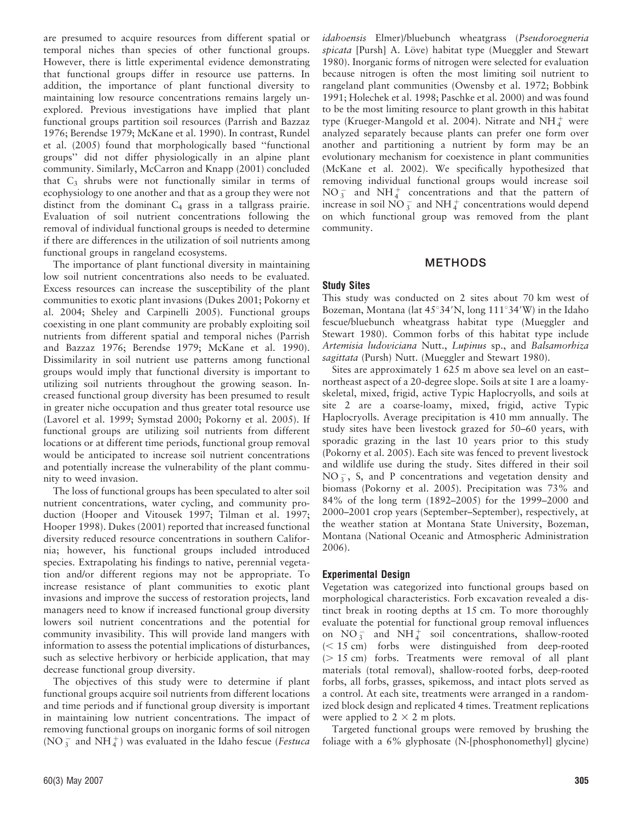are presumed to acquire resources from different spatial or temporal niches than species of other functional groups. However, there is little experimental evidence demonstrating that functional groups differ in resource use patterns. In addition, the importance of plant functional diversity to maintaining low resource concentrations remains largely unexplored. Previous investigations have implied that plant functional groups partition soil resources (Parrish and Bazzaz 1976; Berendse 1979; McKane et al. 1990). In contrast, Rundel et al. (2005) found that morphologically based ''functional groups'' did not differ physiologically in an alpine plant community. Similarly, McCarron and Knapp (2001) concluded that  $C_3$  shrubs were not functionally similar in terms of ecophysiology to one another and that as a group they were not distinct from the dominant  $C_4$  grass in a tallgrass prairie. Evaluation of soil nutrient concentrations following the removal of individual functional groups is needed to determine if there are differences in the utilization of soil nutrients among functional groups in rangeland ecosystems.

The importance of plant functional diversity in maintaining low soil nutrient concentrations also needs to be evaluated. Excess resources can increase the susceptibility of the plant communities to exotic plant invasions (Dukes 2001; Pokorny et al. 2004; Sheley and Carpinelli 2005). Functional groups coexisting in one plant community are probably exploiting soil nutrients from different spatial and temporal niches (Parrish and Bazzaz 1976; Berendse 1979; McKane et al. 1990). Dissimilarity in soil nutrient use patterns among functional groups would imply that functional diversity is important to utilizing soil nutrients throughout the growing season. Increased functional group diversity has been presumed to result in greater niche occupation and thus greater total resource use (Lavorel et al. 1999; Symstad 2000; Pokorny et al. 2005). If functional groups are utilizing soil nutrients from different locations or at different time periods, functional group removal would be anticipated to increase soil nutrient concentrations and potentially increase the vulnerability of the plant community to weed invasion.

The loss of functional groups has been speculated to alter soil nutrient concentrations, water cycling, and community production (Hooper and Vitousek 1997; Tilman et al. 1997; Hooper 1998). Dukes (2001) reported that increased functional diversity reduced resource concentrations in southern California; however, his functional groups included introduced species. Extrapolating his findings to native, perennial vegetation and/or different regions may not be appropriate. To increase resistance of plant communities to exotic plant invasions and improve the success of restoration projects, land managers need to know if increased functional group diversity lowers soil nutrient concentrations and the potential for community invasibility. This will provide land mangers with information to assess the potential implications of disturbances, such as selective herbivory or herbicide application, that may decrease functional group diversity.

The objectives of this study were to determine if plant functional groups acquire soil nutrients from different locations and time periods and if functional group diversity is important in maintaining low nutrient concentrations. The impact of removing functional groups on inorganic forms of soil nitrogen (NO $_3^-$  and NH $_4^+$ ) was evaluated in the Idaho fescue (Festuca

idahoensis Elmer)/bluebunch wheatgrass (Pseudoroegneria spicata [Pursh] A. Löve) habitat type (Mueggler and Stewart 1980). Inorganic forms of nitrogen were selected for evaluation because nitrogen is often the most limiting soil nutrient to rangeland plant communities (Owensby et al. 1972; Bobbink 1991; Holechek et al. 1998; Paschke et al. 2000) and was found to be the most limiting resource to plant growth in this habitat type (Krueger-Mangold et al. 2004). Nitrate and NH $_4^+$  were analyzed separately because plants can prefer one form over another and partitioning a nutrient by form may be an evolutionary mechanism for coexistence in plant communities (McKane et al. 2002). We specifically hypothesized that removing individual functional groups would increase soil  $NO_3^-$  and  $NH_4^+$  concentrations and that the pattern of increase in soil  $\overline{{\rm NO}\,}^{-}_{3}$  and  ${\rm NH}_4^+$  concentrations would depend on which functional group was removed from the plant community.

## METHODS

## Study Sites

This study was conducted on 2 sites about 70 km west of Bozeman, Montana (lat  $45^{\circ}34'N$ , long  $111^{\circ}34'W$ ) in the Idaho fescue/bluebunch wheatgrass habitat type (Mueggler and Stewart 1980). Common forbs of this habitat type include Artemisia ludoviciana Nutt., Lupinus sp., and Balsamorhiza sagittata (Pursh) Nutt. (Mueggler and Stewart 1980).

Sites are approximately 1 625 m above sea level on an east– northeast aspect of a 20-degree slope. Soils at site 1 are a loamyskeletal, mixed, frigid, active Typic Haplocryolls, and soils at site 2 are a coarse-loamy, mixed, frigid, active Typic Haplocryolls. Average precipitation is 410 mm annually. The study sites have been livestock grazed for 50–60 years, with sporadic grazing in the last 10 years prior to this study (Pokorny et al. 2005). Each site was fenced to prevent livestock and wildlife use during the study. Sites differed in their soil  $NO_3^-$ , S, and P concentrations and vegetation density and biomass (Pokorny et al. 2005). Precipitation was 73% and 84% of the long term (1892–2005) for the 1999–2000 and 2000–2001 crop years (September–September), respectively, at the weather station at Montana State University, Bozeman, Montana (National Oceanic and Atmospheric Administration 2006).

#### Experimental Design

Vegetation was categorized into functional groups based on morphological characteristics. Forb excavation revealed a distinct break in rooting depths at 15 cm. To more thoroughly evaluate the potential for functional group removal influences on  $NO_3^-$  and  $NH_4^+$  soil concentrations, shallow-rooted  $(< 15 cm)$  forbs were distinguished from deep-rooted  $(> 15 \text{ cm})$  forbs. Treatments were removal of all plant materials (total removal), shallow-rooted forbs, deep-rooted forbs, all forbs, grasses, spikemoss, and intact plots served as a control. At each site, treatments were arranged in a randomized block design and replicated 4 times. Treatment replications were applied to  $2 \times 2$  m plots.

Targeted functional groups were removed by brushing the foliage with a 6% glyphosate (N-[phosphonomethyl] glycine)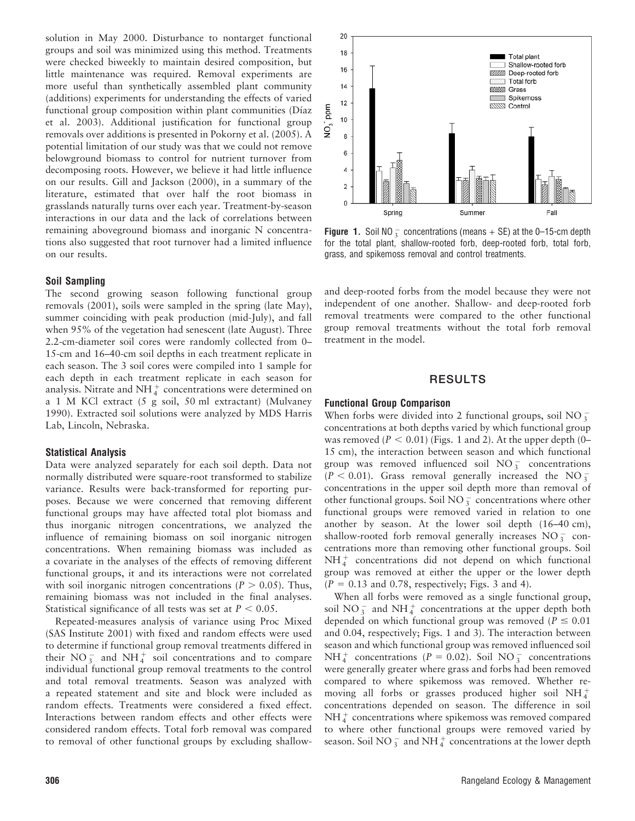solution in May 2000. Disturbance to nontarget functional groups and soil was minimized using this method. Treatments were checked biweekly to maintain desired composition, but little maintenance was required. Removal experiments are more useful than synthetically assembled plant community (additions) experiments for understanding the effects of varied functional group composition within plant communities (Díaz et al. 2003). Additional justification for functional group removals over additions is presented in Pokorny et al. (2005). A potential limitation of our study was that we could not remove belowground biomass to control for nutrient turnover from decomposing roots. However, we believe it had little influence on our results. Gill and Jackson (2000), in a summary of the literature, estimated that over half the root biomass in grasslands naturally turns over each year. Treatment-by-season interactions in our data and the lack of correlations between remaining aboveground biomass and inorganic N concentrations also suggested that root turnover had a limited influence on our results.

#### Soil Sampling

The second growing season following functional group removals (2001), soils were sampled in the spring (late May), summer coinciding with peak production (mid-July), and fall when 95% of the vegetation had senescent (late August). Three 2.2-cm-diameter soil cores were randomly collected from 0– 15-cm and 16–40-cm soil depths in each treatment replicate in each season. The 3 soil cores were compiled into 1 sample for each depth in each treatment replicate in each season for analysis. Nitrate and NH $_4^+$  concentrations were determined on a 1 M KCl extract (5 g soil, 50 ml extractant) (Mulvaney 1990). Extracted soil solutions were analyzed by MDS Harris Lab, Lincoln, Nebraska.

#### Statistical Analysis

Data were analyzed separately for each soil depth. Data not normally distributed were square-root transformed to stabilize variance. Results were back-transformed for reporting purposes. Because we were concerned that removing different functional groups may have affected total plot biomass and thus inorganic nitrogen concentrations, we analyzed the influence of remaining biomass on soil inorganic nitrogen concentrations. When remaining biomass was included as a covariate in the analyses of the effects of removing different functional groups, it and its interactions were not correlated with soil inorganic nitrogen concentrations ( $P > 0.05$ ). Thus, remaining biomass was not included in the final analyses. Statistical significance of all tests was set at  $P < 0.05$ .

Repeated-measures analysis of variance using Proc Mixed (SAS Institute 2001) with fixed and random effects were used to determine if functional group removal treatments differed in their  $NO_3^-$  and  $NH_4^+$  soil concentrations and to compare individual functional group removal treatments to the control and total removal treatments. Season was analyzed with a repeated statement and site and block were included as random effects. Treatments were considered a fixed effect. Interactions between random effects and other effects were considered random effects. Total forb removal was compared to removal of other functional groups by excluding shallow-



**Figure 1.** Soil NO  $_3^-$  concentrations (means  $+$  SE) at the 0–15-cm depth for the total plant, shallow-rooted forb, deep-rooted forb, total forb, grass, and spikemoss removal and control treatments.

and deep-rooted forbs from the model because they were not independent of one another. Shallow- and deep-rooted forb removal treatments were compared to the other functional group removal treatments without the total forb removal treatment in the model.

## RESULTS

#### Functional Group Comparison

When forbs were divided into 2 functional groups, soil NO  $_3^$ concentrations at both depths varied by which functional group was removed ( $P < 0.01$ ) (Figs. 1 and 2). At the upper depth (0– 15 cm), the interaction between season and which functional group was removed influenced soil  $NO_3^-$  concentrations  $(P < 0.01)$ . Grass removal generally increased the NO<sub>3</sub> concentrations in the upper soil depth more than removal of other functional groups. Soil NO  $_3^-$  concentrations where other functional groups were removed varied in relation to one another by season. At the lower soil depth (16–40 cm), shallow-rooted forb removal generally increases  $NO_3^-$  concentrations more than removing other functional groups. Soil  $NH<sub>4</sub><sup>+</sup>$  concentrations did not depend on which functional group was removed at either the upper or the lower depth  $(P = 0.13$  and 0.78, respectively; Figs. 3 and 4).

When all forbs were removed as a single functional group, soil NO<sub>3</sub> and NH<sub>4</sub> concentrations at the upper depth both depended on which functional group was removed ( $P \le 0.01$ and 0.04, respectively; Figs. 1 and 3). The interaction between season and which functional group was removed influenced soil  $NH_4^+$  concentrations ( $P = 0.02$ ). Soil NO<sub>3</sub> concentrations were generally greater where grass and forbs had been removed compared to where spikemoss was removed. Whether removing all forbs or grasses produced higher soil  $NH_4^+$ concentrations depended on season. The difference in soil  $NH_4^+$  concentrations where spikemoss was removed compared to where other functional groups were removed varied by season. Soil NO $_3^-$  and NH $_4^+$  concentrations at the lower depth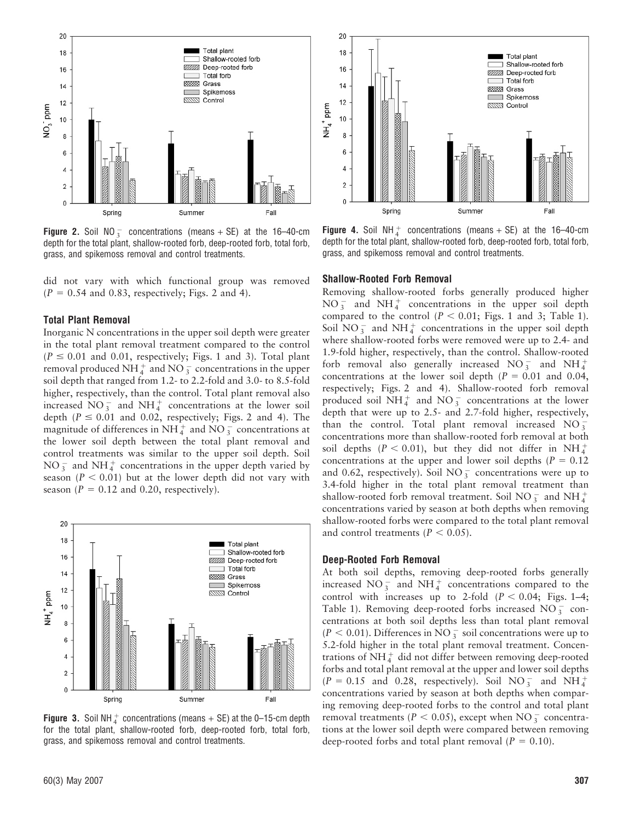

**Figure 2.** Soil NO<sub>3</sub> concentrations (means + SE) at the 16–40-cm depth for the total plant, shallow-rooted forb, deep-rooted forb, total forb, grass, and spikemoss removal and control treatments.

did not vary with which functional group was removed  $(P = 0.54$  and 0.83, respectively; Figs. 2 and 4).

#### Total Plant Removal

Inorganic N concentrations in the upper soil depth were greater in the total plant removal treatment compared to the control  $(P \le 0.01$  and 0.01, respectively; Figs. 1 and 3). Total plant removal produced NH $_4^+$  and NO $_3^-$  concentrations in the upper soil depth that ranged from 1.2- to 2.2-fold and 3.0- to 8.5-fold higher, respectively, than the control. Total plant removal also increased  $\text{NO}_3^-$  and  $\text{NH}_4^+$  concentrations at the lower soil depth ( $P \le 0.01$  and 0.02, respectively; Figs. 2 and 4). The magnitude of differences in NH $_4^+$  and NO $_3^-$  concentrations at the lower soil depth between the total plant removal and control treatments was similar to the upper soil depth. Soil  $NO_3^-$  and  $NH_4^+$  concentrations in the upper depth varied by season ( $P < 0.01$ ) but at the lower depth did not vary with season ( $P = 0.12$  and 0.20, respectively).



**Figure 3.** Soil NH $_4^+$  concentrations (means  $+$  SE) at the 0–15-cm depth for the total plant, shallow-rooted forb, deep-rooted forb, total forb, grass, and spikemoss removal and control treatments.



**Figure 4.** Soil NH $_4^+$  concentrations (means + SE) at the 16–40-cm depth for the total plant, shallow-rooted forb, deep-rooted forb, total forb, grass, and spikemoss removal and control treatments.

## Shallow-Rooted Forb Removal

Removing shallow-rooted forbs generally produced higher  $NO_3^-$  and  $NH_4^+$  concentrations in the upper soil depth compared to the control ( $P < 0.01$ ; Figs. 1 and 3; Table 1). Soil  $NO_3^-$  and  $NH_4^+$  concentrations in the upper soil depth where shallow-rooted forbs were removed were up to 2.4- and 1.9-fold higher, respectively, than the control. Shallow-rooted forb removal also generally increased  $NO_3^-$  and  $NH_4^+$ concentrations at the lower soil depth ( $P = 0.01$  and 0.04, respectively; Figs. 2 and 4). Shallow-rooted forb removal produced soil NH $_4^+$  and NO<sub>3</sub> concentrations at the lower depth that were up to 2.5- and 2.7-fold higher, respectively, than the control. Total plant removal increased  $NO_3^$ concentrations more than shallow-rooted forb removal at both soil depths ( $P < 0.01$ ), but they did not differ in NH $_4^+$ concentrations at the upper and lower soil depths ( $P = 0.12$ ) and 0.62, respectively). Soil NO $_3^-$  concentrations were up to 3.4-fold higher in the total plant removal treatment than shallow-rooted forb removal treatment. Soil NO<sub>3</sub> and NH<sup>+</sup><sub>4</sub> concentrations varied by season at both depths when removing shallow-rooted forbs were compared to the total plant removal and control treatments ( $P < 0.05$ ).

#### Deep-Rooted Forb Removal

At both soil depths, removing deep-rooted forbs generally increased NO<sub>3</sub> and NH<sub>4</sub> concentrations compared to the control with increases up to 2-fold  $(P < 0.04$ ; Figs. 1–4; Table 1). Removing deep-rooted forbs increased  $NO_3^-$  concentrations at both soil depths less than total plant removal  $(P < 0.01)$ . Differences in NO  $_3^-$  soil concentrations were up to 5.2-fold higher in the total plant removal treatment. Concentrations of  $NH_4^+$  did not differ between removing deep-rooted forbs and total plant removal at the upper and lower soil depths  $(P = 0.15 \text{ and } 0.28, \text{ respectively})$ . Soil NO<sub>3</sub> and NH<sup>+</sup><sub>4</sub> concentrations varied by season at both depths when comparing removing deep-rooted forbs to the control and total plant removal treatments ( $P < 0.05$ ), except when NO<sub>3</sub> concentrations at the lower soil depth were compared between removing deep-rooted forbs and total plant removal ( $P = 0.10$ ).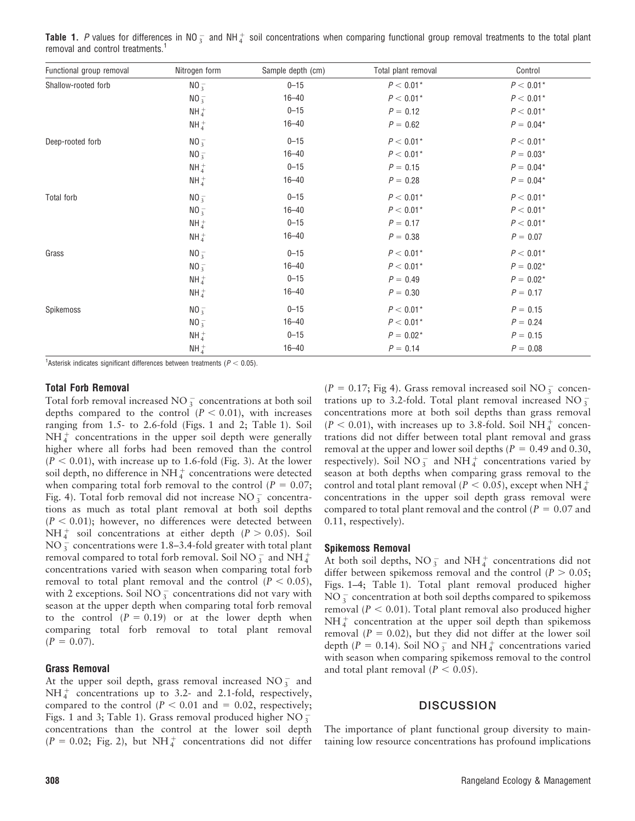|  | Table 1. P values for differences in NO <sub>3</sub> and NH <sub>4</sub> soil concentrations when comparing functional group removal treatments to the total plant |  |  |  |  |  |  |  |
|--|--------------------------------------------------------------------------------------------------------------------------------------------------------------------|--|--|--|--|--|--|--|
|  | removal and control treatments. <sup>1</sup>                                                                                                                       |  |  |  |  |  |  |  |

| Functional group removal | Nitrogen form | Sample depth (cm) | Total plant removal | Control     |
|--------------------------|---------------|-------------------|---------------------|-------------|
| Shallow-rooted forb      | $NO_3^-$      | $0 - 15$          | $P < 0.01*$         | $P < 0.01*$ |
|                          | $NO_3^-$      | $16 - 40$         | $P < 0.01*$         | $P < 0.01*$ |
|                          | $NH_4^+$      | $0 - 15$          | $P = 0.12$          | $P < 0.01*$ |
|                          | $NH_4^+$      | $16 - 40$         | $P = 0.62$          | $P = 0.04*$ |
| Deep-rooted forb         | $NO_3^-$      | $0 - 15$          | $P < 0.01*$         | $P < 0.01*$ |
|                          | $NO_3^-$      | $16 - 40$         | $P < 0.01*$         | $P = 0.03*$ |
|                          | $NH_4^+$      | $0 - 15$          | $P = 0.15$          | $P = 0.04*$ |
|                          | $NH_4^+$      | $16 - 40$         | $P = 0.28$          | $P = 0.04*$ |
| Total forb               | $NO_3^-$      | $0 - 15$          | $P < 0.01*$         | $P < 0.01*$ |
|                          | $NO_3^-$      | $16 - 40$         | $P < 0.01*$         | $P < 0.01*$ |
|                          | $NH_4^+$      | $0 - 15$          | $P = 0.17$          | $P < 0.01*$ |
|                          | $NH_4^+$      | $16 - 40$         | $P = 0.38$          | $P = 0.07$  |
| Grass                    | $NO_3^-$      | $0 - 15$          | $P < 0.01*$         | $P < 0.01*$ |
|                          | $NO_3^-$      | $16 - 40$         | $P < 0.01*$         | $P = 0.02*$ |
|                          | $NH_4^+$      | $0 - 15$          | $P = 0.49$          | $P = 0.02*$ |
|                          | $NH_4^+$      | $16 - 40$         | $P = 0.30$          | $P = 0.17$  |
| Spikemoss                | $NO_3^-$      | $0 - 15$          | $P < 0.01*$         | $P = 0.15$  |
|                          | $NO_3^-$      | $16 - 40$         | $P < 0.01*$         | $P = 0.24$  |
|                          | $NH_4^+$      | $0 - 15$          | $P = 0.02*$         | $P = 0.15$  |
|                          | $NH_4^+$      | $16 - 40$         | $P = 0.14$          | $P = 0.08$  |

<sup>1</sup> Asterisk indicates significant differences between treatments ( $P < 0.05$ ).

#### Total Forb Removal

Total forb removal increased  $NO_3^-$  concentrations at both soil depths compared to the control  $(P < 0.01)$ , with increases ranging from 1.5- to 2.6-fold (Figs. 1 and 2; Table 1). Soil  $NH<sub>4</sub><sup>+</sup>$  concentrations in the upper soil depth were generally higher where all forbs had been removed than the control  $(P < 0.01)$ , with increase up to 1.6-fold (Fig. 3). At the lower soil depth, no difference in  $\mathrm{NH}_4^+$  concentrations were detected when comparing total forb removal to the control ( $P = 0.07$ ; Fig. 4). Total forb removal did not increase  $NO_3^-$  concentrations as much as total plant removal at both soil depths  $(P < 0.01)$ ; however, no differences were detected between  $NH_4^+$  soil concentrations at either depth ( $P > 0.05$ ). Soil  $NO_3^-$  concentrations were 1.8–3.4-fold greater with total plant removal compared to total forb removal. Soil NO  $_3^-$  and NH  $_4^+$ concentrations varied with season when comparing total forb removal to total plant removal and the control ( $P < 0.05$ ), with 2 exceptions. Soil NO  $_3^-$  concentrations did not vary with season at the upper depth when comparing total forb removal to the control  $(P = 0.19)$  or at the lower depth when comparing total forb removal to total plant removal  $(P = 0.07)$ .

#### Grass Removal

At the upper soil depth, grass removal increased  $NO_3^-$  and  $NH_4^+$  concentrations up to 3.2- and 2.1-fold, respectively, compared to the control ( $P < 0.01$  and = 0.02, respectively; Figs. 1 and 3; Table 1). Grass removal produced higher  $NO_3^$ concentrations than the control at the lower soil depth  $(P = 0.02;$  Fig. 2), but NH<sup>+</sup> concentrations did not differ

( $P = 0.17$ ; Fig 4). Grass removal increased soil NO  $_{3}^{-}$  concentrations up to 3.2-fold. Total plant removal increased  $NO_3^$ concentrations more at both soil depths than grass removal  $(P < 0.01)$ , with increases up to 3.8-fold. Soil NH<sup>+</sup> concentrations did not differ between total plant removal and grass removal at the upper and lower soil depths ( $P = 0.49$  and 0.30, respectively). Soil NO<sub>3</sub> and NH<sub>4</sub> concentrations varied by season at both depths when comparing grass removal to the control and total plant removal ( $\overline{P}$  < 0.05), except when NH  $_4^+$ concentrations in the upper soil depth grass removal were compared to total plant removal and the control ( $P = 0.07$  and 0.11, respectively).

#### Spikemoss Removal

At both soil depths,  $NO_3^-$  and  $NH_4^+$  concentrations did not differ between spikemoss removal and the control ( $P > 0.05$ ; Figs. 1–4; Table 1). Total plant removal produced higher  $NO_3^-$  concentration at both soil depths compared to spikemoss removal ( $P < 0.01$ ). Total plant removal also produced higher  $NH<sub>4</sub><sup>+</sup>$  concentration at the upper soil depth than spikemoss removal ( $P = 0.02$ ), but they did not differ at the lower soil depth ( $P = 0.14$ ). Soil NO  $_3^-$  and NH  $_4^+$  concentrations varied with season when comparing spikemoss removal to the control and total plant removal ( $P < 0.05$ ).

## **DISCUSSION**

The importance of plant functional group diversity to maintaining low resource concentrations has profound implications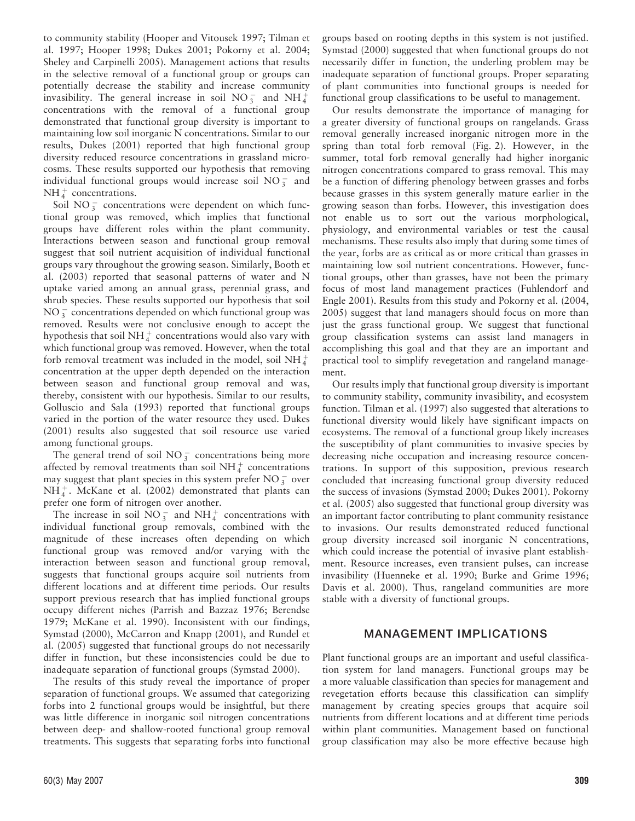to community stability (Hooper and Vitousek 1997; Tilman et al. 1997; Hooper 1998; Dukes 2001; Pokorny et al. 2004; Sheley and Carpinelli 2005). Management actions that results in the selective removal of a functional group or groups can potentially decrease the stability and increase community invasibility. The general increase in soil  $NO_3^-$  and  $NH_4^+$ concentrations with the removal of a functional group demonstrated that functional group diversity is important to maintaining low soil inorganic N concentrations. Similar to our results, Dukes (2001) reported that high functional group diversity reduced resource concentrations in grassland microcosms. These results supported our hypothesis that removing individual functional groups would increase soil  $NO_3^-$  and  $NH_4^+$  concentrations.

Soil NO $_3^-$  concentrations were dependent on which functional group was removed, which implies that functional groups have different roles within the plant community. Interactions between season and functional group removal suggest that soil nutrient acquisition of individual functional groups vary throughout the growing season. Similarly, Booth et al. (2003) reported that seasonal patterns of water and N uptake varied among an annual grass, perennial grass, and shrub species. These results supported our hypothesis that soil  $NO_3^-$  concentrations depended on which functional group was removed. Results were not conclusive enough to accept the hypothesis that soil NH $_4^+$  concentrations would also vary with which functional group was removed. However, when the total forb removal treatment was included in the model, soil NH $_4^+$ concentration at the upper depth depended on the interaction between season and functional group removal and was, thereby, consistent with our hypothesis. Similar to our results, Golluscio and Sala (1993) reported that functional groups varied in the portion of the water resource they used. Dukes (2001) results also suggested that soil resource use varied among functional groups.

The general trend of soil  $NO_3^-$  concentrations being more affected by removal treatments than soil NH $_4^+$  concentrations may suggest that plant species in this system prefer NO  $_3^-$  over  $NH_4^+$ . McKane et al. (2002) demonstrated that plants can prefer one form of nitrogen over another.

The increase in soil  $\overline{NO_3^-}$  and  $\overline{NH_4^+}$  concentrations with individual functional group removals, combined with the magnitude of these increases often depending on which functional group was removed and/or varying with the interaction between season and functional group removal, suggests that functional groups acquire soil nutrients from different locations and at different time periods. Our results support previous research that has implied functional groups occupy different niches (Parrish and Bazzaz 1976; Berendse 1979; McKane et al. 1990). Inconsistent with our findings, Symstad (2000), McCarron and Knapp (2001), and Rundel et al. (2005) suggested that functional groups do not necessarily differ in function, but these inconsistencies could be due to inadequate separation of functional groups (Symstad 2000).

The results of this study reveal the importance of proper separation of functional groups. We assumed that categorizing forbs into 2 functional groups would be insightful, but there was little difference in inorganic soil nitrogen concentrations between deep- and shallow-rooted functional group removal treatments. This suggests that separating forbs into functional

groups based on rooting depths in this system is not justified. Symstad (2000) suggested that when functional groups do not necessarily differ in function, the underling problem may be inadequate separation of functional groups. Proper separating of plant communities into functional groups is needed for functional group classifications to be useful to management.

Our results demonstrate the importance of managing for a greater diversity of functional groups on rangelands. Grass removal generally increased inorganic nitrogen more in the spring than total forb removal (Fig. 2). However, in the summer, total forb removal generally had higher inorganic nitrogen concentrations compared to grass removal. This may be a function of differing phenology between grasses and forbs because grasses in this system generally mature earlier in the growing season than forbs. However, this investigation does not enable us to sort out the various morphological, physiology, and environmental variables or test the causal mechanisms. These results also imply that during some times of the year, forbs are as critical as or more critical than grasses in maintaining low soil nutrient concentrations. However, functional groups, other than grasses, have not been the primary focus of most land management practices (Fuhlendorf and Engle 2001). Results from this study and Pokorny et al. (2004, 2005) suggest that land managers should focus on more than just the grass functional group. We suggest that functional group classification systems can assist land managers in accomplishing this goal and that they are an important and practical tool to simplify revegetation and rangeland management.

Our results imply that functional group diversity is important to community stability, community invasibility, and ecosystem function. Tilman et al. (1997) also suggested that alterations to functional diversity would likely have significant impacts on ecosystems. The removal of a functional group likely increases the susceptibility of plant communities to invasive species by decreasing niche occupation and increasing resource concentrations. In support of this supposition, previous research concluded that increasing functional group diversity reduced the success of invasions (Symstad 2000; Dukes 2001). Pokorny et al. (2005) also suggested that functional group diversity was an important factor contributing to plant community resistance to invasions. Our results demonstrated reduced functional group diversity increased soil inorganic N concentrations, which could increase the potential of invasive plant establishment. Resource increases, even transient pulses, can increase invasibility (Huenneke et al. 1990; Burke and Grime 1996; Davis et al. 2000). Thus, rangeland communities are more stable with a diversity of functional groups.

## MANAGEMENT IMPLICATIONS

Plant functional groups are an important and useful classification system for land managers. Functional groups may be a more valuable classification than species for management and revegetation efforts because this classification can simplify management by creating species groups that acquire soil nutrients from different locations and at different time periods within plant communities. Management based on functional group classification may also be more effective because high